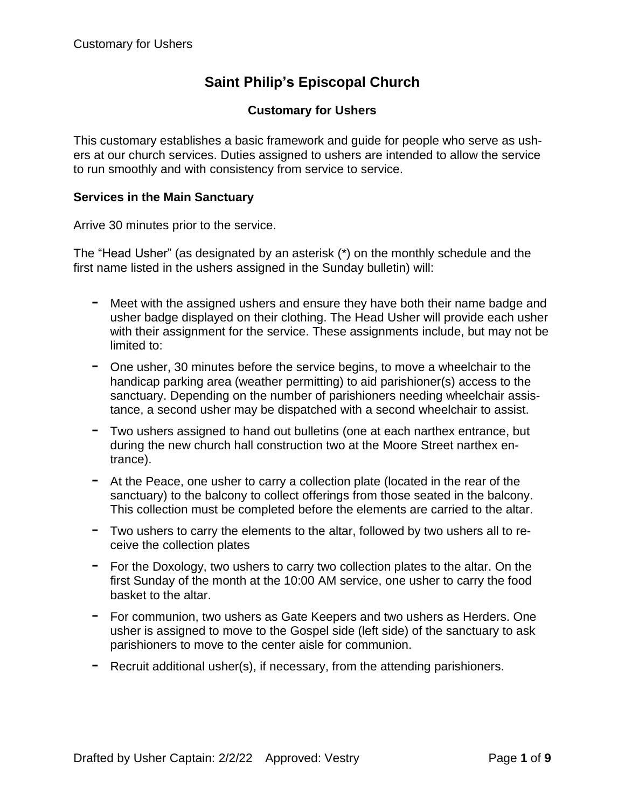# **Saint Philip's Episcopal Church**

## **Customary for Ushers**

This customary establishes a basic framework and guide for people who serve as ushers at our church services. Duties assigned to ushers are intended to allow the service to run smoothly and with consistency from service to service.

#### **Services in the Main Sanctuary**

Arrive 30 minutes prior to the service.

The "Head Usher" (as designated by an asterisk (\*) on the monthly schedule and the first name listed in the ushers assigned in the Sunday bulletin) will:

- Meet with the assigned ushers and ensure they have both their name badge and usher badge displayed on their clothing. The Head Usher will provide each usher with their assignment for the service. These assignments include, but may not be limited to:
- One usher, <sup>30</sup> minutes before the service begins, to move <sup>a</sup> wheelchair to the handicap parking area (weather permitting) to aid parishioner(s) access to the sanctuary. Depending on the number of parishioners needing wheelchair assistance, a second usher may be dispatched with a second wheelchair to assist.
- Two ushers assigned to hand out bulletins (one at each narthex entrance, but during the new church hall construction two at the Moore Street narthex entrance).
- At the Peace, one usher to carry <sup>a</sup> collection plate (located in the rear of the sanctuary) to the balcony to collect offerings from those seated in the balcony. This collection must be completed before the elements are carried to the altar.
- Two ushers to carry the elements to the altar, followed by two ushers all to receive the collection plates
- For the Doxology, two ushers to carry two collection plates to the altar. On the first Sunday of the month at the 10:00 AM service, one usher to carry the food basket to the altar.
- For communion, two ushers as Gate Keepers and two ushers as Herders. One usher is assigned to move to the Gospel side (left side) of the sanctuary to ask parishioners to move to the center aisle for communion.
- Recruit additional usher(s), if necessary, from the attending parishioners.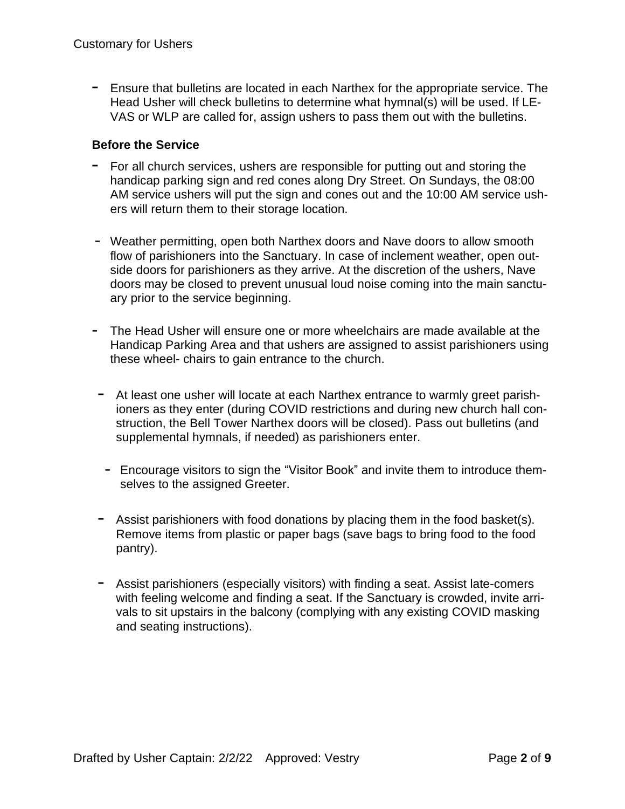- Ensure that bulletins are located in each Narthex for the appropriate service. The Head Usher will check bulletins to determine what hymnal(s) will be used. If LE-VAS or WLP are called for, assign ushers to pass them out with the bulletins.

#### **Before the Service**

- For all church services, ushers are responsible for putting out and storing the handicap parking sign and red cones along Dry Street. On Sundays, the 08:00 AM service ushers will put the sign and cones out and the 10:00 AM service ushers will return them to their storage location.
- Weather permitting, open both Narthex doors and Nave doors to allow smooth flow of parishioners into the Sanctuary. In case of inclement weather, open outside doors for parishioners as they arrive. At the discretion of the ushers, Nave doors may be closed to prevent unusual loud noise coming into the main sanctuary prior to the service beginning.
- The Head Usher will ensure one or more wheelchairs are made available at the Handicap Parking Area and that ushers are assigned to assist parishioners using these wheel- chairs to gain entrance to the church.
- At least one usher will locate at each Narthex entrance to warmly greet parishioners as they enter (during COVID restrictions and during new church hall construction, the Bell Tower Narthex doors will be closed). Pass out bulletins (and supplemental hymnals, if needed) as parishioners enter.
- Encourage visitors to sign the "Visitor Book" and invite them to introduce themselves to the assigned Greeter.
- Assist parishioners with food donations by placing them in the food basket(s). Remove items from plastic or paper bags (save bags to bring food to the food pantry).
- Assist parishioners (especially visitors) with finding <sup>a</sup> seat. Assist late-comers with feeling welcome and finding a seat. If the Sanctuary is crowded, invite arrivals to sit upstairs in the balcony (complying with any existing COVID masking and seating instructions).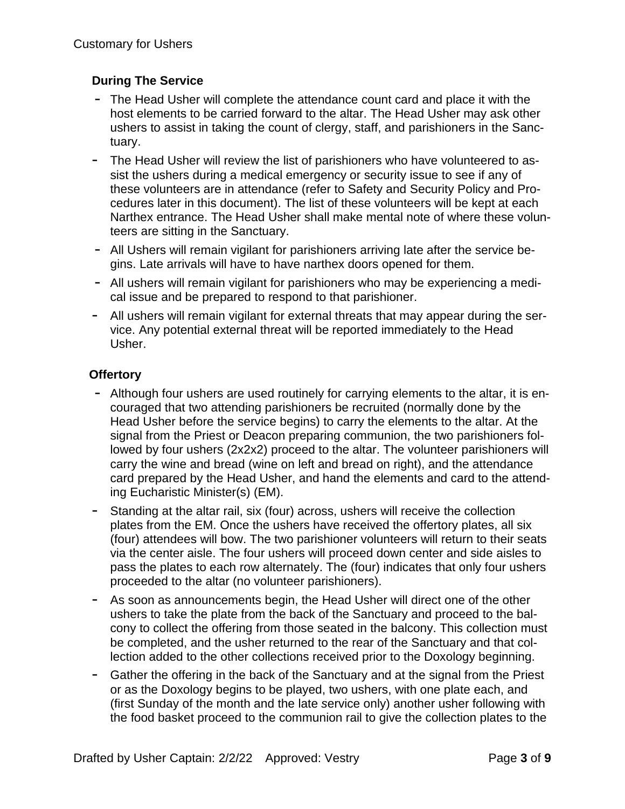## **During The Service**

- The Head Usher will complete the attendance count card and place it with the host elements to be carried forward to the altar. The Head Usher may ask other ushers to assist in taking the count of clergy, staff, and parishioners in the Sanctuary.
- The Head Usher will review the list of parishioners who have volunteered to assist the ushers during a medical emergency or security issue to see if any of these volunteers are in attendance (refer to Safety and Security Policy and Procedures later in this document). The list of these volunteers will be kept at each Narthex entrance. The Head Usher shall make mental note of where these volunteers are sitting in the Sanctuary.
- All Ushers will remain vigilant for parishioners arriving late after the service begins. Late arrivals will have to have narthex doors opened for them.
- All ushers will remain vigilant for parishioners who may be experiencing a medical issue and be prepared to respond to that parishioner.
- All ushers will remain vigilant for external threats that may appear during the service. Any potential external threat will be reported immediately to the Head Usher.

## **Offertory**

- Although four ushers are used routinely for carrying elements to the altar, it is encouraged that two attending parishioners be recruited (normally done by the Head Usher before the service begins) to carry the elements to the altar. At the signal from the Priest or Deacon preparing communion, the two parishioners followed by four ushers (2x2x2) proceed to the altar. The volunteer parishioners will carry the wine and bread (wine on left and bread on right), and the attendance card prepared by the Head Usher, and hand the elements and card to the attending Eucharistic Minister(s) (EM).
- Standing at the altar rail, six (four) across, ushers will receive the collection plates from the EM. Once the ushers have received the offertory plates, all six (four) attendees will bow. The two parishioner volunteers will return to their seats via the center aisle. The four ushers will proceed down center and side aisles to pass the plates to each row alternately. The (four) indicates that only four ushers proceeded to the altar (no volunteer parishioners).
- As soon as announcements begin, the Head Usher will direct one of the other ushers to take the plate from the back of the Sanctuary and proceed to the balcony to collect the offering from those seated in the balcony. This collection must be completed, and the usher returned to the rear of the Sanctuary and that collection added to the other collections received prior to the Doxology beginning.
- Gather the offering in the back of the Sanctuary and at the signal from the Priest or as the Doxology begins to be played, two ushers, with one plate each, and (first Sunday of the month and the late *s*ervice only) another usher following with the food basket proceed to the communion rail to give the collection plates to the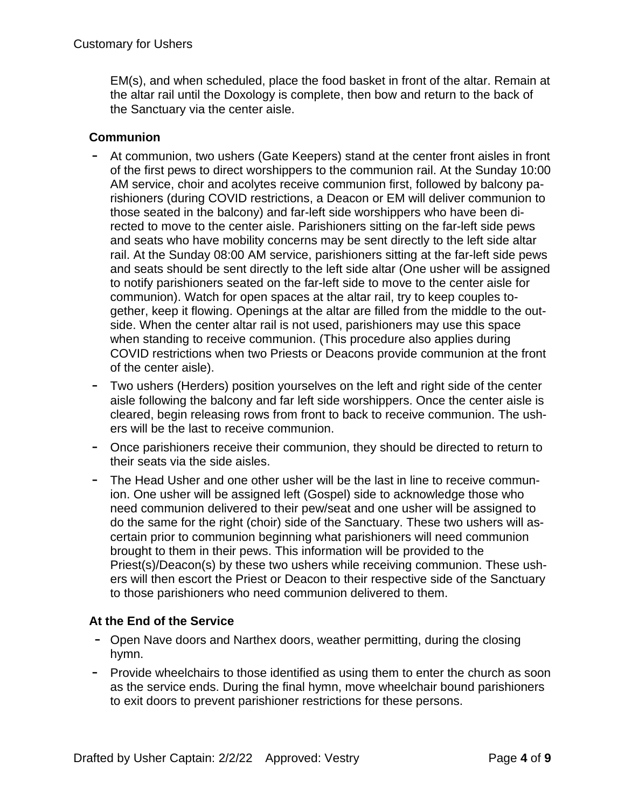EM(s), and when scheduled, place the food basket in front of the altar. Remain at the altar rail until the Doxology is complete, then bow and return to the back of the Sanctuary via the center aisle.

## **Communion**

- At communion, two ushers (Gate Keepers) stand at the center front aisles in front of the first pews to direct worshippers to the communion rail. At the Sunday 10:00 AM service, choir and acolytes receive communion first, followed by balcony parishioners (during COVID restrictions, a Deacon or EM will deliver communion to those seated in the balcony) and far-left side worshippers who have been directed to move to the center aisle. Parishioners sitting on the far-left side pews and seats who have mobility concerns may be sent directly to the left side altar rail. At the Sunday 08:00 AM service, parishioners sitting at the far-left side pews and seats should be sent directly to the left side altar (One usher will be assigned to notify parishioners seated on the far-left side to move to the center aisle for communion). Watch for open spaces at the altar rail, try to keep couples together, keep it flowing. Openings at the altar are filled from the middle to the outside. When the center altar rail is not used, parishioners may use this space when standing to receive communion. (This procedure also applies during COVID restrictions when two Priests or Deacons provide communion at the front of the center aisle).
- Two ushers (Herders) position yourselves on the left and right side of the center aisle following the balcony and far left side worshippers. Once the center aisle is cleared, begin releasing rows from front to back to receive communion. The ushers will be the last to receive communion.
- Once parishioners receive their communion, they should be directed to return to their seats via the side aisles.
- The Head Usher and one other usher will be the last in line to receive communion. One usher will be assigned left (Gospel) side to acknowledge those who need communion delivered to their pew/seat and one usher will be assigned to do the same for the right (choir) side of the Sanctuary. These two ushers will ascertain prior to communion beginning what parishioners will need communion brought to them in their pews. This information will be provided to the Priest(s)/Deacon(s) by these two ushers while receiving communion. These ushers will then escort the Priest or Deacon to their respective side of the Sanctuary to those parishioners who need communion delivered to them.

## **At the End of the Service**

- Open Nave doors and Narthex doors, weather permitting, during the closing hymn.
- Provide wheelchairs to those identified as using them to enter the church as soon as the service ends. During the final hymn, move wheelchair bound parishioners to exit doors to prevent parishioner restrictions for these persons.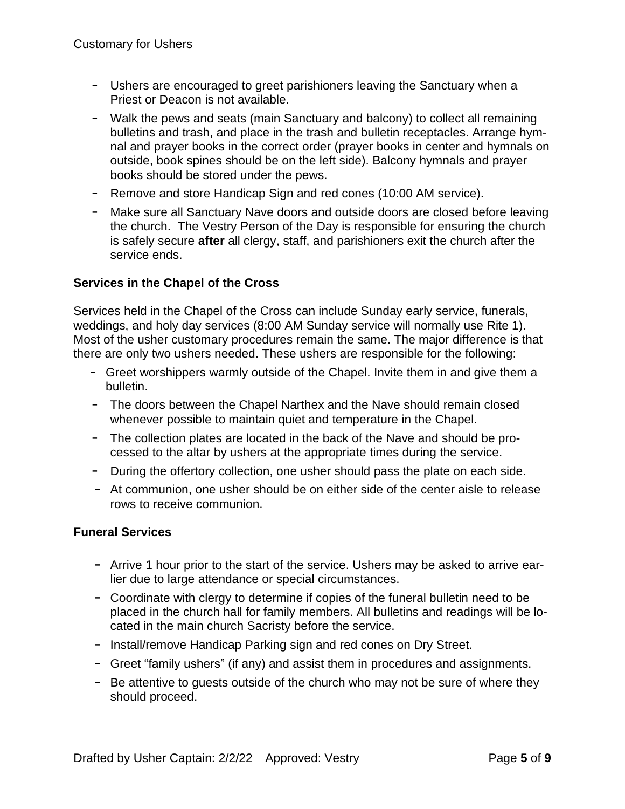- Ushers are encouraged to greet parishioners leaving the Sanctuary when a Priest or Deacon is not available.
- Walk the pews and seats (main Sanctuary and balcony) to collect all remaining bulletins and trash, and place in the trash and bulletin receptacles. Arrange hymnal and prayer books in the correct order (prayer books in center and hymnals on outside, book spines should be on the left side). Balcony hymnals and prayer books should be stored under the pews.
- Remove and store Handicap Sign and red cones (10:00 AM service).
- Make sure all Sanctuary Nave doors and outside doors are closed before leaving the church. The Vestry Person of the Day is responsible for ensuring the church is safely secure **after** all clergy, staff, and parishioners exit the church after the service ends.

# **Services in the Chapel of the Cross**

Services held in the Chapel of the Cross can include Sunday early service, funerals, weddings, and holy day services (8:00 AM Sunday service will normally use Rite 1). Most of the usher customary procedures remain the same. The major difference is that there are only two ushers needed. These ushers are responsible for the following:

- Greet worshippers warmly outside of the Chapel. Invite them in and give them a bulletin.
- The doors between the Chapel Narthex and the Nave should remain closed whenever possible to maintain quiet and temperature in the Chapel.
- The collection plates are located in the back of the Nave and should be processed to the altar by ushers at the appropriate times during the service.
- During the offertory collection, one usher should pass the plate on each side.
- At communion, one usher should be on either side of the center aisle to release rows to receive communion.

## **Funeral Services**

- Arrive 1 hour prior to the start of the service. Ushers may be asked to arrive earlier due to large attendance or special circumstances.
- Coordinate with clergy to determine if copies of the funeral bulletin need to be placed in the church hall for family members. All bulletins and readings will be located in the main church Sacristy before the service.
- Install/remove Handicap Parking sign and red cones on Dry Street.
- Greet "family ushers" (if any) and assist them in procedures and assignments.
- Be attentive to quests outside of the church who may not be sure of where they should proceed.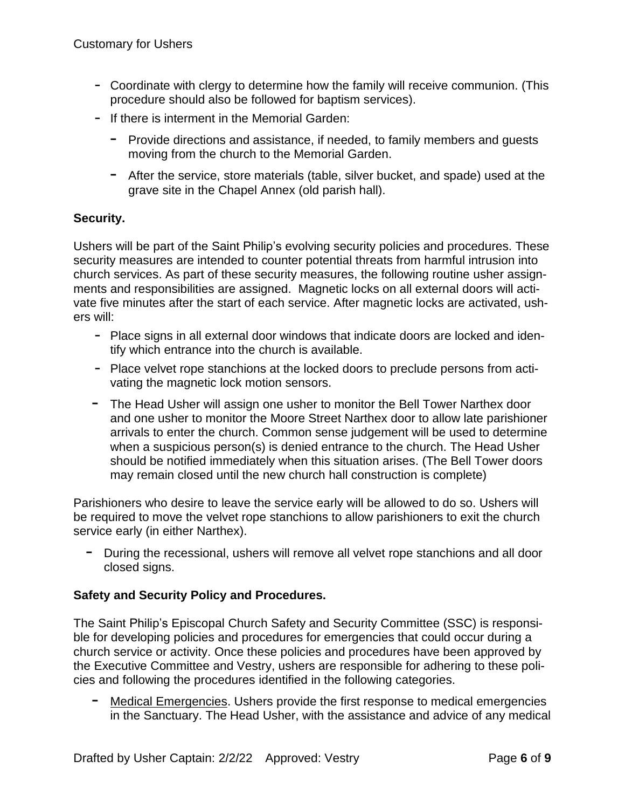- Coordinate with clergy to determine how the family will receive communion. (This procedure should also be followed for baptism services).
- If there is interment in the Memorial Garden:
	- Provide directions and assistance, if needed, to family members and guests moving from the church to the Memorial Garden.
	- After the service, store materials (table, silver bucket, and spade) used at the grave site in the Chapel Annex (old parish hall).

## **Security.**

Ushers will be part of the Saint Philip's evolving security policies and procedures. These security measures are intended to counter potential threats from harmful intrusion into church services. As part of these security measures, the following routine usher assignments and responsibilities are assigned.Magnetic locks on all external doors will activate five minutes after the start of each service. After magnetic locks are activated, ushers will:

- Place signs in all external door windows that indicate doors are locked and identify which entrance into the church is available.
- Place velvet rope stanchions at the locked doors to preclude persons from activating the magnetic lock motion sensors.
- The Head Usher will assign one usher to monitor the Bell Tower Narthex door and one usher to monitor the Moore Street Narthex door to allow late parishioner arrivals to enter the church. Common sense judgement will be used to determine when a suspicious person(s) is denied entrance to the church. The Head Usher should be notified immediately when this situation arises. (The Bell Tower doors may remain closed until the new church hall construction is complete)

Parishioners who desire to leave the service early will be allowed to do so. Ushers will be required to move the velvet rope stanchions to allow parishioners to exit the church service early (in either Narthex).

- During the recessional, ushers will remove all velvet rope stanchions and all door closed signs.

## **Safety and Security Policy and Procedures.**

The Saint Philip's Episcopal Church Safety and Security Committee (SSC) is responsible for developing policies and procedures for emergencies that could occur during a church service or activity. Once these policies and procedures have been approved by the Executive Committee and Vestry, ushers are responsible for adhering to these policies and following the procedures identified in the following categories.

- Medical Emergencies. Ushers provide the first response to medical emergencies in the Sanctuary. The Head Usher, with the assistance and advice of any medical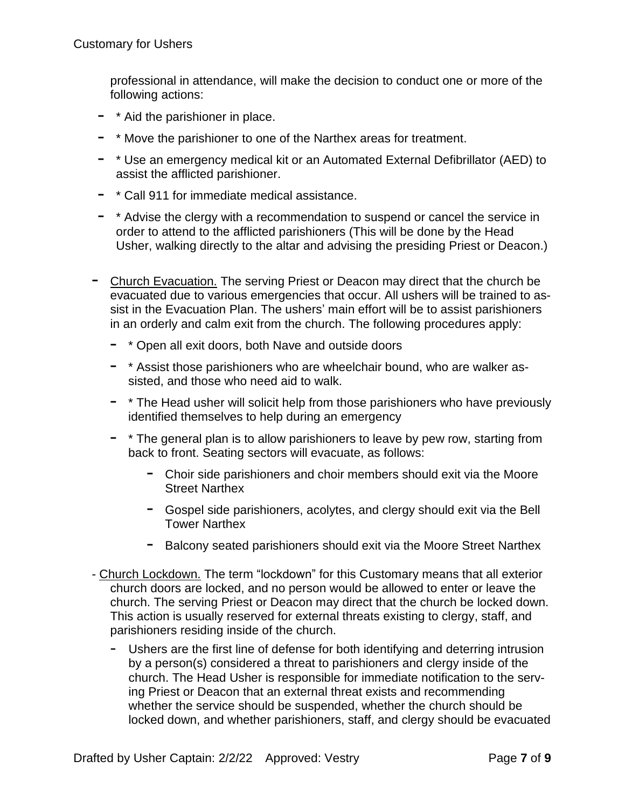professional in attendance, will make the decision to conduct one or more of the following actions:

- \* Aid the parishioner in place.
- \* Move the parishioner to one of the Narthex areas for treatment.
- \* Use an emergency medical kit or an Automated External Defibrillator (AED) to assist the afflicted parishioner.
- \* Call <sup>911</sup> for immediate medical assistance.
- \* Advise the clergy with <sup>a</sup> recommendation to suspend or cancel the service in order to attend to the afflicted parishioners (This will be done by the Head Usher, walking directly to the altar and advising the presiding Priest or Deacon.)
- Church Evacuation. The serving Priest or Deacon may direct that the church be evacuated due to various emergencies that occur. All ushers will be trained to assist in the Evacuation Plan. The ushers' main effort will be to assist parishioners in an orderly and calm exit from the church. The following procedures apply:
	- \* Open all exit doors, both Nave and outside doors
	- \* Assist those parishioners who are wheelchair bound, who are walker assisted, and those who need aid to walk.
	- \* The Head usher will solicit help from those parishioners who have previously identified themselves to help during an emergency
	- \* The general plan is to allow parishioners to leave by pew row, starting from back to front. Seating sectors will evacuate, as follows:
		- Choir side parishioners and choir members should exit via the Moore Street Narthex
		- Gospel side parishioners, acolytes, and clergy should exit via the Bell Tower Narthex
		- Balcony seated parishioners should exit via the Moore Street Narthex
- Church Lockdown. The term "lockdown" for this Customary means that all exterior church doors are locked, and no person would be allowed to enter or leave the church. The serving Priest or Deacon may direct that the church be locked down. This action is usually reserved for external threats existing to clergy, staff, and parishioners residing inside of the church.
	- Ushers are the first line of defense for both identifying and deterring intrusion by a person(s) considered a threat to parishioners and clergy inside of the church. The Head Usher is responsible for immediate notification to the serving Priest or Deacon that an external threat exists and recommending whether the service should be suspended, whether the church should be locked down, and whether parishioners, staff, and clergy should be evacuated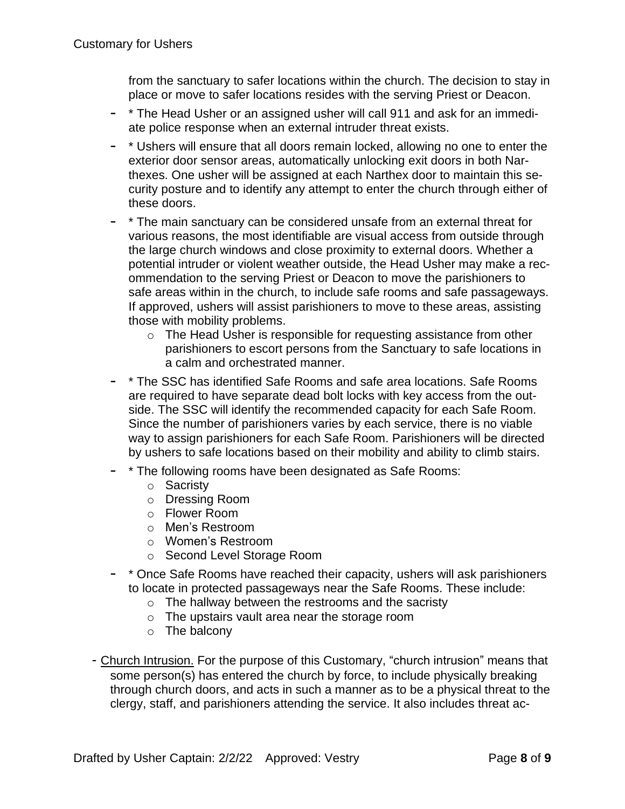from the sanctuary to safer locations within the church. The decision to stay in place or move to safer locations resides with the serving Priest or Deacon.

- \* The Head Usher or an assigned usher will call 911 and ask for an immediate police response when an external intruder threat exists.
- \* Ushers will ensure that all doors remain locked, allowing no one to enter the exterior door sensor areas, automatically unlocking exit doors in both Narthexes. One usher will be assigned at each Narthex door to maintain this security posture and to identify any attempt to enter the church through either of these doors.
- \* The main sanctuary can be considered unsafe from an external threat for various reasons, the most identifiable are visual access from outside through the large church windows and close proximity to external doors. Whether a potential intruder or violent weather outside, the Head Usher may make a recommendation to the serving Priest or Deacon to move the parishioners to safe areas within in the church, to include safe rooms and safe passageways. If approved, ushers will assist parishioners to move to these areas, assisting those with mobility problems.
	- o The Head Usher is responsible for requesting assistance from other parishioners to escort persons from the Sanctuary to safe locations in a calm and orchestrated manner.
- \* The SSC has identified Safe Rooms and safe area locations. Safe Rooms are required to have separate dead bolt locks with key access from the outside. The SSC will identify the recommended capacity for each Safe Room. Since the number of parishioners varies by each service, there is no viable way to assign parishioners for each Safe Room. Parishioners will be directed by ushers to safe locations based on their mobility and ability to climb stairs.
- \* The following rooms have been designated as Safe Rooms:
	- o Sacristy
	- o Dressing Room
	- o Flower Room
	- o Men's Restroom
	- o Women's Restroom
	- o Second Level Storage Room
- \* Once Safe Rooms have reached their capacity, ushers will ask parishioners to locate in protected passageways near the Safe Rooms. These include:
	- o The hallway between the restrooms and the sacristy
	- o The upstairs vault area near the storage room
	- o The balcony
- Church Intrusion. For the purpose of this Customary, "church intrusion" means that some person(s) has entered the church by force, to include physically breaking through church doors, and acts in such a manner as to be a physical threat to the clergy, staff, and parishioners attending the service. It also includes threat ac-